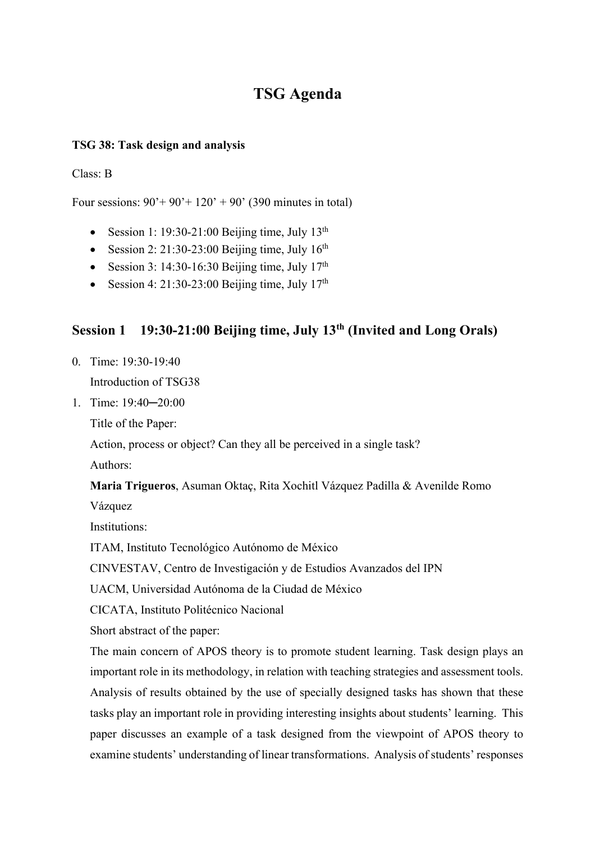# **TSG Agenda**

## **TSG 38: Task design and analysis**

### Class: B

Four sessions:  $90'+90'+120'+90'$  (390 minutes in total)

- Session 1: 19:30-21:00 Beijing time, July  $13<sup>th</sup>$
- Session 2: 21:30-23:00 Beijing time, July  $16<sup>th</sup>$
- Session 3: 14:30-16:30 Beijing time, July  $17<sup>th</sup>$
- Session 4: 21:30-23:00 Beijing time, July  $17<sup>th</sup>$

# **Session 1 19:30-21:00 Beijing time, July 13th (Invited and Long Orals)**

- 0. Time: 19:30-19:40 Introduction of TSG38
- 1. Time: 19:40─20:00

Title of the Paper:

Action, process or object? Can they all be perceived in a single task?

Authors:

**Maria Trigueros**, Asuman Oktaç, Rita Xochitl Vázquez Padilla & Avenilde Romo

Vázquez

Institutions:

ITAM, Instituto Tecnológico Autónomo de México

CINVESTAV, Centro de Investigación y de Estudios Avanzados del IPN

UACM, Universidad Autónoma de la Ciudad de México

CICATA, Instituto Politécnico Nacional

Short abstract of the paper:

The main concern of APOS theory is to promote student learning. Task design plays an important role in its methodology, in relation with teaching strategies and assessment tools. Analysis of results obtained by the use of specially designed tasks has shown that these tasks play an important role in providing interesting insights about students' learning. This paper discusses an example of a task designed from the viewpoint of APOS theory to examine students' understanding of linear transformations. Analysis of students' responses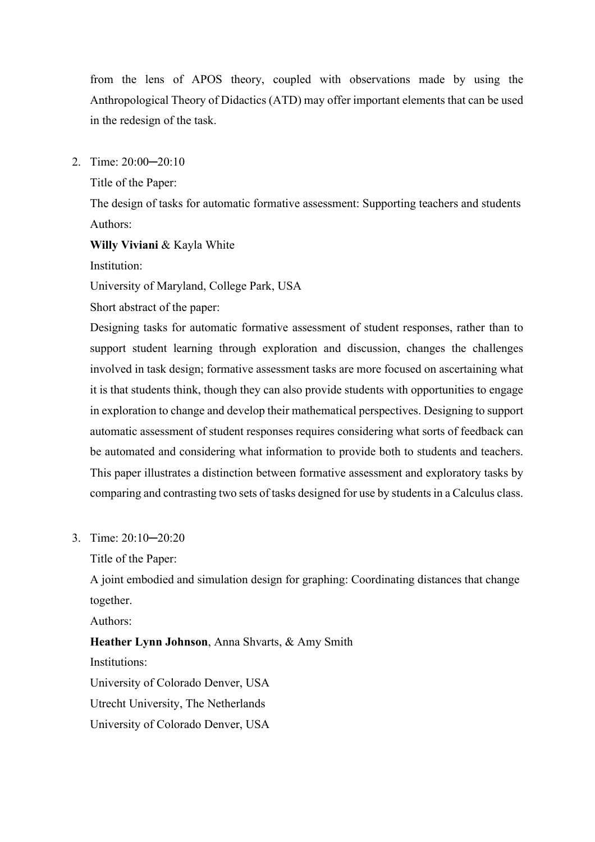from the lens of APOS theory, coupled with observations made by using the Anthropological Theory of Didactics (ATD) may offer important elements that can be used in the redesign of the task.

2. Time: 20:00─20:10

Title of the Paper:

The design of tasks for automatic formative assessment: Supporting teachers and students Authors:

**Willy Viviani** & Kayla White

Institution:

University of Maryland, College Park, USA

Short abstract of the paper:

Designing tasks for automatic formative assessment of student responses, rather than to support student learning through exploration and discussion, changes the challenges involved in task design; formative assessment tasks are more focused on ascertaining what it is that students think, though they can also provide students with opportunities to engage in exploration to change and develop their mathematical perspectives. Designing to support automatic assessment of student responses requires considering what sorts of feedback can be automated and considering what information to provide both to students and teachers. This paper illustrates a distinction between formative assessment and exploratory tasks by comparing and contrasting two sets of tasks designed for use by students in a Calculus class.

3. Time: 20:10─20:20

Title of the Paper:

A joint embodied and simulation design for graphing: Coordinating distances that change together.

Authors:

**Heather Lynn Johnson**, Anna Shvarts, & Amy Smith Institutions: University of Colorado Denver, USA Utrecht University, The Netherlands University of Colorado Denver, USA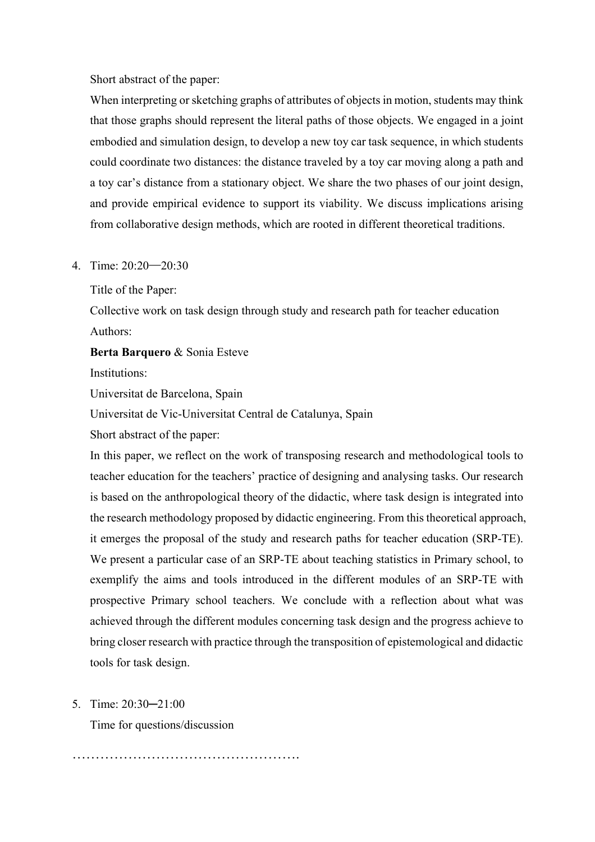Short abstract of the paper:

When interpreting or sketching graphs of attributes of objects in motion, students may think that those graphs should represent the literal paths of those objects. We engaged in a joint embodied and simulation design, to develop a new toy car task sequence, in which students could coordinate two distances: the distance traveled by a toy car moving along a path and a toy car's distance from a stationary object. We share the two phases of our joint design, and provide empirical evidence to support its viability. We discuss implications arising from collaborative design methods, which are rooted in different theoretical traditions.

#### 4. Time: 20:20─20:30

Title of the Paper:

Collective work on task design through study and research path for teacher education Authors:

**Berta Barquero** & Sonia Esteve

Institutions:

Universitat de Barcelona, Spain

Universitat de Vic-Universitat Central de Catalunya, Spain

Short abstract of the paper:

In this paper, we reflect on the work of transposing research and methodological tools to teacher education for the teachers' practice of designing and analysing tasks. Our research is based on the anthropological theory of the didactic, where task design is integrated into the research methodology proposed by didactic engineering. From this theoretical approach, it emerges the proposal of the study and research paths for teacher education (SRP-TE). We present a particular case of an SRP-TE about teaching statistics in Primary school, to exemplify the aims and tools introduced in the different modules of an SRP-TE with prospective Primary school teachers. We conclude with a reflection about what was achieved through the different modules concerning task design and the progress achieve to bring closer research with practice through the transposition of epistemological and didactic tools for task design.

#### 5. Time: 20:30─21:00

Time for questions/discussion

………………………………………….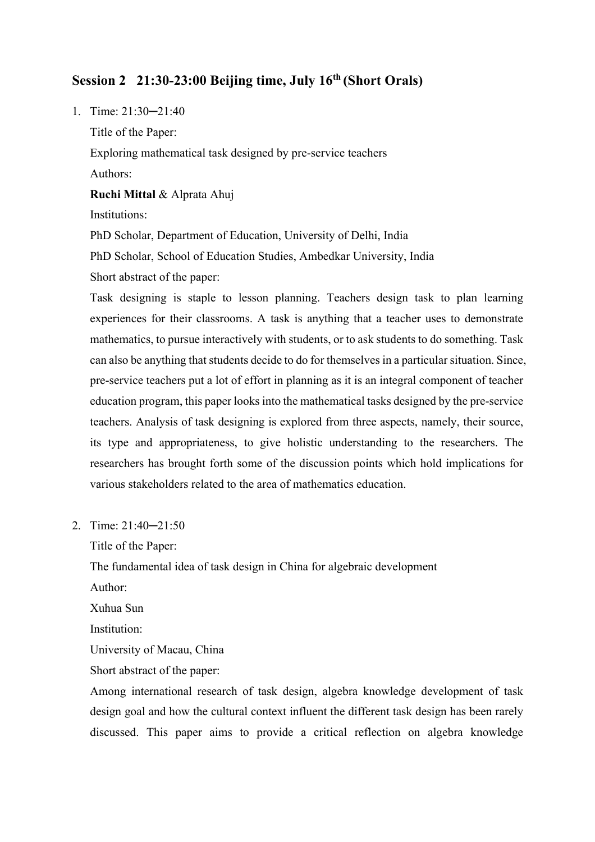# **Session 2 21:30-23:00 Beijing time, July 16th (Short Orals)**

1. Time: 21:30─21:40 Title of the Paper: Exploring mathematical task designed by pre-service teachers Authors: **Ruchi Mittal** & Alprata Ahuj

Institutions:

PhD Scholar, Department of Education, University of Delhi, India

PhD Scholar, School of Education Studies, Ambedkar University, India

Short abstract of the paper:

Task designing is staple to lesson planning. Teachers design task to plan learning experiences for their classrooms. A task is anything that a teacher uses to demonstrate mathematics, to pursue interactively with students, or to ask students to do something. Task can also be anything that students decide to do for themselves in a particular situation. Since, pre-service teachers put a lot of effort in planning as it is an integral component of teacher education program, this paper looks into the mathematical tasks designed by the pre-service teachers. Analysis of task designing is explored from three aspects, namely, their source, its type and appropriateness, to give holistic understanding to the researchers. The researchers has brought forth some of the discussion points which hold implications for various stakeholders related to the area of mathematics education.

2. Time: 21:40─21:50

Title of the Paper:

The fundamental idea of task design in China for algebraic development

Author:

Xuhua Sun

Institution:

University of Macau, China

Short abstract of the paper:

Among international research of task design, algebra knowledge development of task design goal and how the cultural context influent the different task design has been rarely discussed. This paper aims to provide a critical reflection on algebra knowledge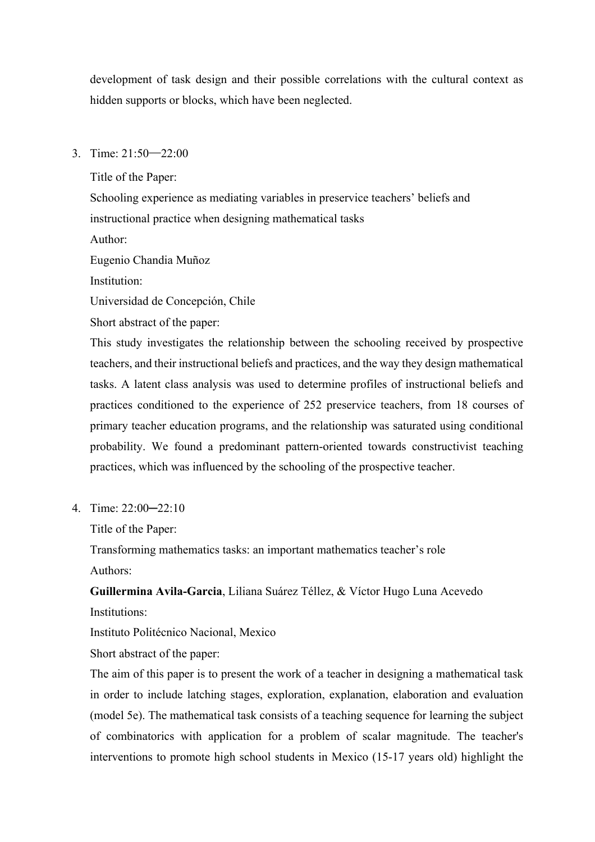development of task design and their possible correlations with the cultural context as hidden supports or blocks, which have been neglected.

3. Time: 21:50─22:00

Title of the Paper:

Schooling experience as mediating variables in preservice teachers' beliefs and instructional practice when designing mathematical tasks

Author:

Eugenio Chandia Muñoz

Institution:

Universidad de Concepción, Chile

Short abstract of the paper:

This study investigates the relationship between the schooling received by prospective teachers, and their instructional beliefs and practices, and the way they design mathematical tasks. A latent class analysis was used to determine profiles of instructional beliefs and practices conditioned to the experience of 252 preservice teachers, from 18 courses of primary teacher education programs, and the relationship was saturated using conditional probability. We found a predominant pattern-oriented towards constructivist teaching practices, which was influenced by the schooling of the prospective teacher.

4. Time: 22:00─22:10

Title of the Paper:

Transforming mathematics tasks: an important mathematics teacher's role

Authors:

**Guillermina Avila-Garcia**, Liliana Suárez Téllez, & Víctor Hugo Luna Acevedo Institutions:

Instituto Politécnico Nacional, Mexico

Short abstract of the paper:

The aim of this paper is to present the work of a teacher in designing a mathematical task in order to include latching stages, exploration, explanation, elaboration and evaluation (model 5e). The mathematical task consists of a teaching sequence for learning the subject of combinatorics with application for a problem of scalar magnitude. The teacher's interventions to promote high school students in Mexico (15-17 years old) highlight the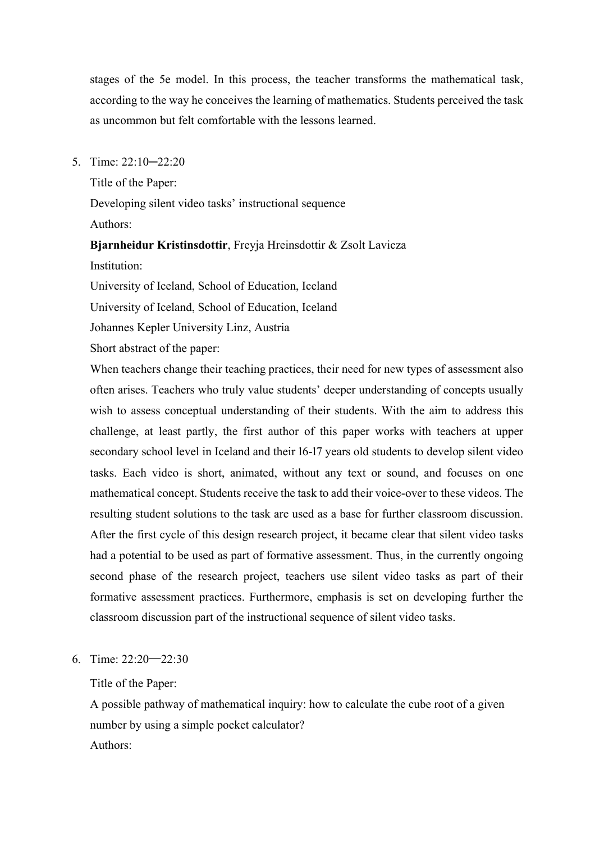stages of the 5e model. In this process, the teacher transforms the mathematical task, according to the way he conceives the learning of mathematics. Students perceived the task as uncommon but felt comfortable with the lessons learned.

5. Time: 22:10─22:20

Title of the Paper:

Developing silent video tasks' instructional sequence Authors:

**Bjarnheidur Kristinsdottir**, Freyja Hreinsdottir & Zsolt Lavicza Institution:

University of Iceland, School of Education, Iceland

University of Iceland, School of Education, Iceland

Johannes Kepler University Linz, Austria

Short abstract of the paper:

When teachers change their teaching practices, their need for new types of assessment also often arises. Teachers who truly value students' deeper understanding of concepts usually wish to assess conceptual understanding of their students. With the aim to address this challenge, at least partly, the first author of this paper works with teachers at upper secondary school level in Iceland and their 16-17 years old students to develop silent video tasks. Each video is short, animated, without any text or sound, and focuses on one mathematical concept. Students receive the task to add their voice-over to these videos. The resulting student solutions to the task are used as a base for further classroom discussion. After the first cycle of this design research project, it became clear that silent video tasks had a potential to be used as part of formative assessment. Thus, in the currently ongoing second phase of the research project, teachers use silent video tasks as part of their formative assessment practices. Furthermore, emphasis is set on developing further the classroom discussion part of the instructional sequence of silent video tasks.

### 6. Time: 22:20─22:30

#### Title of the Paper:

A possible pathway of mathematical inquiry: how to calculate the cube root of a given number by using a simple pocket calculator? Authors: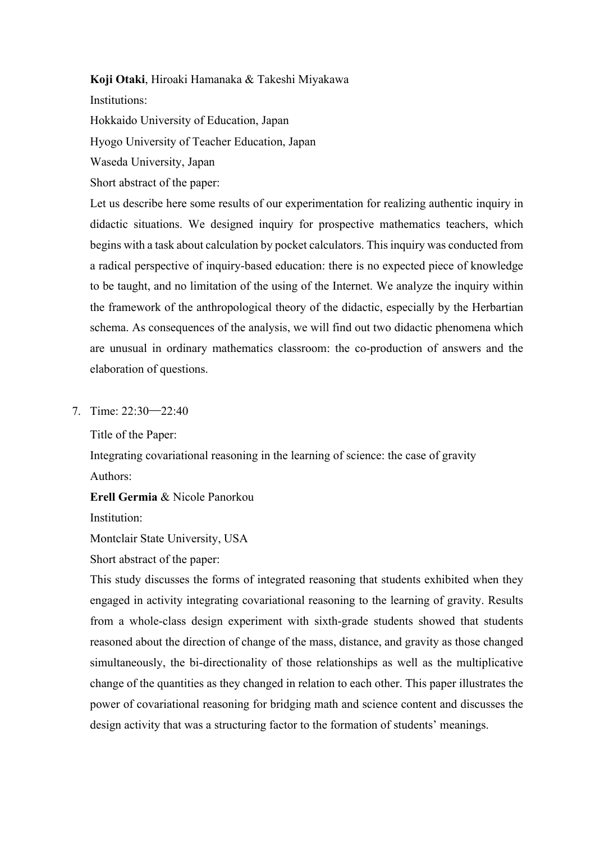#### **Koji Otaki**, Hiroaki Hamanaka & Takeshi Miyakawa

Institutions:

Hokkaido University of Education, Japan

Hyogo University of Teacher Education, Japan

Waseda University, Japan

Short abstract of the paper:

Let us describe here some results of our experimentation for realizing authentic inquiry in didactic situations. We designed inquiry for prospective mathematics teachers, which begins with a task about calculation by pocket calculators. This inquiry was conducted from a radical perspective of inquiry-based education: there is no expected piece of knowledge to be taught, and no limitation of the using of the Internet. We analyze the inquiry within the framework of the anthropological theory of the didactic, especially by the Herbartian schema. As consequences of the analysis, we will find out two didactic phenomena which are unusual in ordinary mathematics classroom: the co-production of answers and the elaboration of questions.

7. Time: 22:30─22:40

Title of the Paper:

Integrating covariational reasoning in the learning of science: the case of gravity Authors:

**Erell Germia** & Nicole Panorkou

Institution:

Montclair State University, USA

Short abstract of the paper:

This study discusses the forms of integrated reasoning that students exhibited when they engaged in activity integrating covariational reasoning to the learning of gravity. Results from a whole-class design experiment with sixth-grade students showed that students reasoned about the direction of change of the mass, distance, and gravity as those changed simultaneously, the bi-directionality of those relationships as well as the multiplicative change of the quantities as they changed in relation to each other. This paper illustrates the power of covariational reasoning for bridging math and science content and discusses the design activity that was a structuring factor to the formation of students' meanings.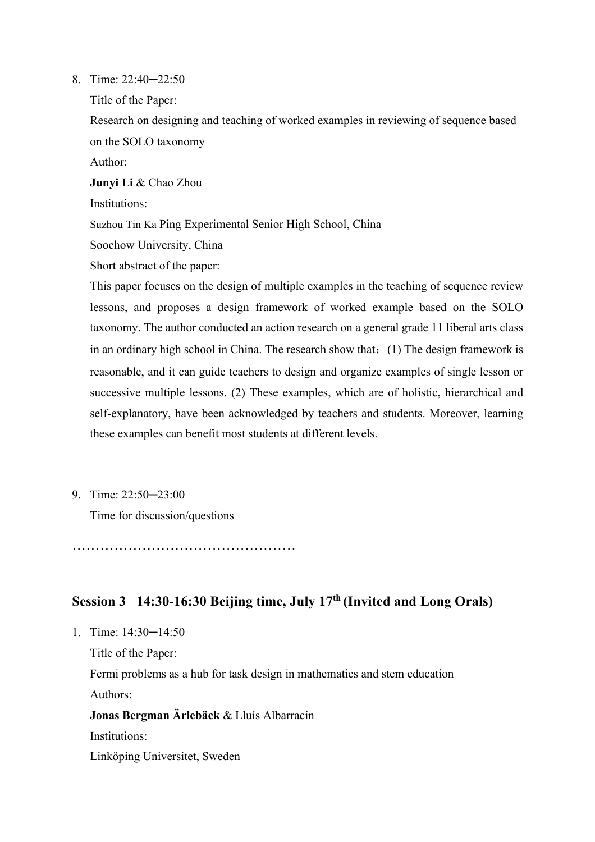### 8. Time: 22:40─22:50

Title of the Paper:

Research on designing and teaching of worked examples in reviewing of sequence based on the SOLO taxonomy

Author:

**Junyi Li** & Chao Zhou

Institutions:

Suzhou Tin Ka Ping Experimental Senior High School, China

Soochow University, China

Short abstract of the paper:

This paper focuses on the design of multiple examples in the teaching of sequence review lessons, and proposes a design framework of worked example based on the SOLO taxonomy. The author conducted an action research on a general grade 11 liberal arts class in an ordinary high school in China. The research show that: (1) The design framework is reasonable, and it can guide teachers to design and organize examples of single lesson or successive multiple lessons. (2) These examples, which are of holistic, hierarchical and self-explanatory, have been acknowledged by teachers and students. Moreover, learning these examples can benefit most students at different levels.

9. Time: 22:50─23:00

Time for discussion/questions

…………………………………………

# **Session 3 14:30-16:30 Beijing time, July 17th (Invited and Long Orals)**

1. Time: 14:30─14:50

Title of the Paper:

Fermi problems as a hub for task design in mathematics and stem education Authors:

**Jonas Bergman Ärlebäck** & Lluís Albarracín

Institutions:

Linköping Universitet, Sweden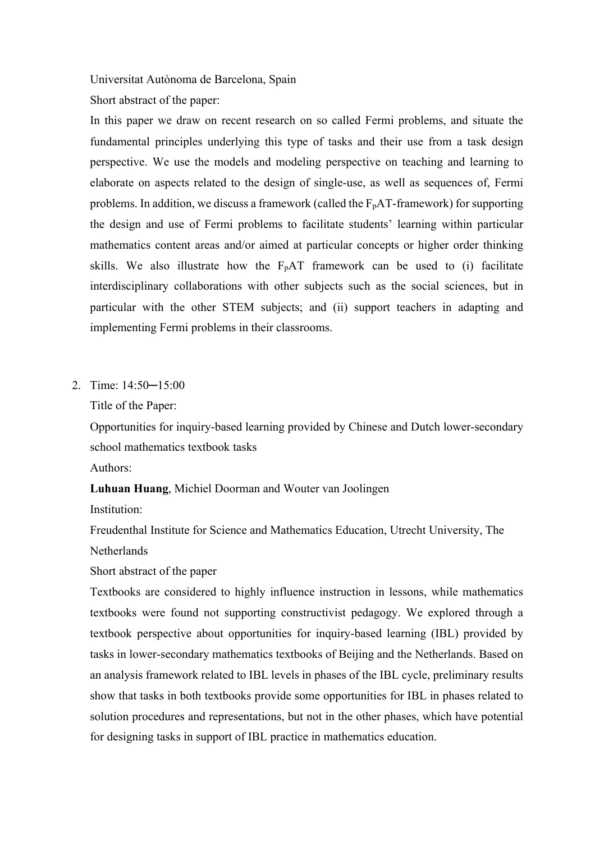Universitat Autònoma de Barcelona, Spain

Short abstract of the paper:

In this paper we draw on recent research on so called Fermi problems, and situate the fundamental principles underlying this type of tasks and their use from a task design perspective. We use the models and modeling perspective on teaching and learning to elaborate on aspects related to the design of single-use, as well as sequences of, Fermi problems. In addition, we discuss a framework (called the  $F<sub>p</sub>AT$ -framework) for supporting the design and use of Fermi problems to facilitate students' learning within particular mathematics content areas and/or aimed at particular concepts or higher order thinking skills. We also illustrate how the  $F<sub>p</sub>AT$  framework can be used to (i) facilitate interdisciplinary collaborations with other subjects such as the social sciences, but in particular with the other STEM subjects; and (ii) support teachers in adapting and implementing Fermi problems in their classrooms.

#### 2. Time: 14:50─15:00

Title of the Paper:

Opportunities for inquiry-based learning provided by Chinese and Dutch lower-secondary school mathematics textbook tasks Authors:

**Luhuan Huang**, Michiel Doorman and Wouter van Joolingen

Institution:

Freudenthal Institute for Science and Mathematics Education, Utrecht University, The **Netherlands** 

Short abstract of the paper

Textbooks are considered to highly influence instruction in lessons, while mathematics textbooks were found not supporting constructivist pedagogy. We explored through a textbook perspective about opportunities for inquiry-based learning (IBL) provided by tasks in lower-secondary mathematics textbooks of Beijing and the Netherlands. Based on an analysis framework related to IBL levels in phases of the IBL cycle, preliminary results show that tasks in both textbooks provide some opportunities for IBL in phases related to solution procedures and representations, but not in the other phases, which have potential for designing tasks in support of IBL practice in mathematics education.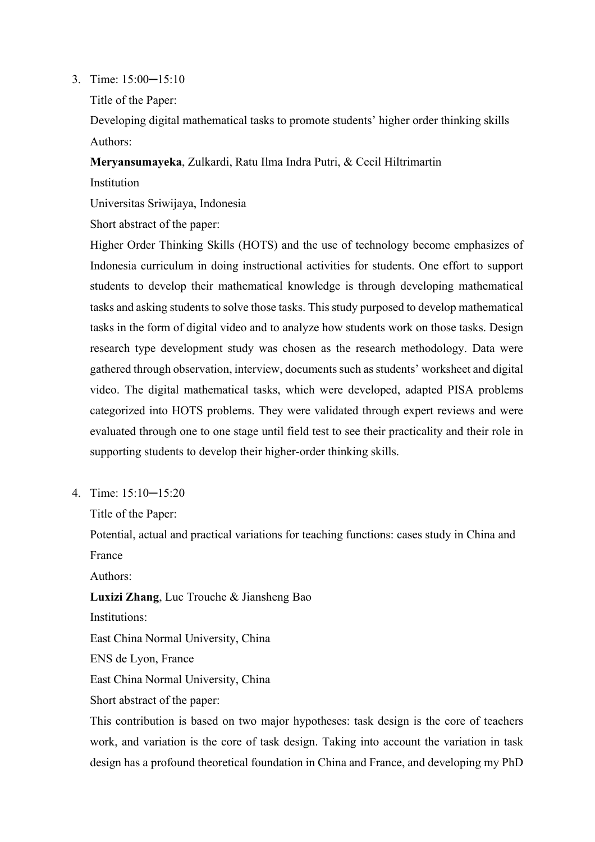3. Time: 15:00─15:10

Title of the Paper:

Developing digital mathematical tasks to promote students' higher order thinking skills Authors:

**Meryansumayeka**, Zulkardi, Ratu Ilma Indra Putri, & Cecil Hiltrimartin

**Institution** 

Universitas Sriwijaya, Indonesia

Short abstract of the paper:

Higher Order Thinking Skills (HOTS) and the use of technology become emphasizes of Indonesia curriculum in doing instructional activities for students. One effort to support students to develop their mathematical knowledge is through developing mathematical tasks and asking students to solve those tasks. This study purposed to develop mathematical tasks in the form of digital video and to analyze how students work on those tasks. Design research type development study was chosen as the research methodology. Data were gathered through observation, interview, documents such as students' worksheet and digital video. The digital mathematical tasks, which were developed, adapted PISA problems categorized into HOTS problems. They were validated through expert reviews and were evaluated through one to one stage until field test to see their practicality and their role in supporting students to develop their higher-order thinking skills.

4. Time: 15:10─15:20

Title of the Paper:

Potential, actual and practical variations for teaching functions: cases study in China and France

Authors:

**Luxizi Zhang**, Luc Trouche & Jiansheng Bao

Institutions:

East China Normal University, China

ENS de Lyon, France

East China Normal University, China

Short abstract of the paper:

This contribution is based on two major hypotheses: task design is the core of teachers work, and variation is the core of task design. Taking into account the variation in task design has a profound theoretical foundation in China and France, and developing my PhD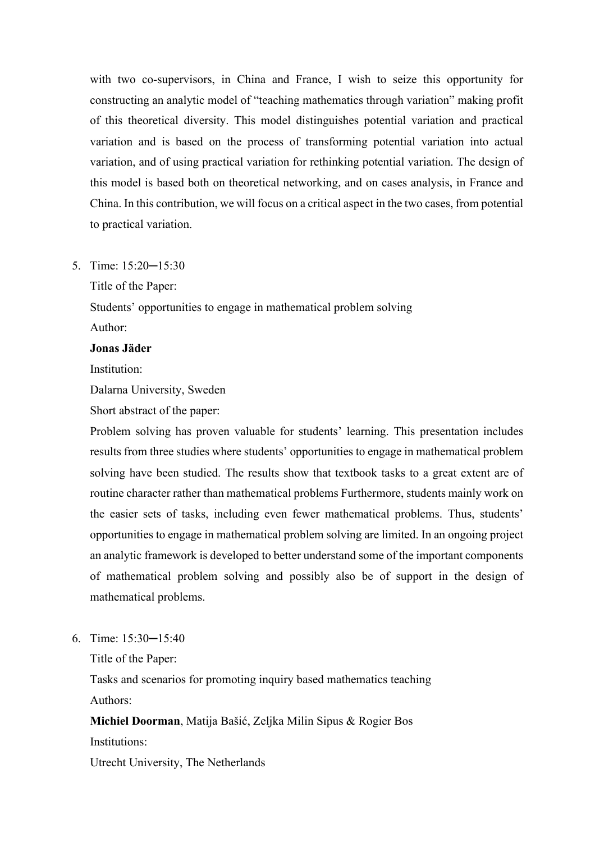with two co-supervisors, in China and France, I wish to seize this opportunity for constructing an analytic model of "teaching mathematics through variation" making profit of this theoretical diversity. This model distinguishes potential variation and practical variation and is based on the process of transforming potential variation into actual variation, and of using practical variation for rethinking potential variation. The design of this model is based both on theoretical networking, and on cases analysis, in France and China. In this contribution, we will focus on a critical aspect in the two cases, from potential to practical variation.

5. Time: 15:20─15:30

Title of the Paper:

Students' opportunities to engage in mathematical problem solving Author:

#### **Jonas Jäder**

Institution:

Dalarna University, Sweden

Short abstract of the paper:

Problem solving has proven valuable for students' learning. This presentation includes results from three studies where students' opportunities to engage in mathematical problem solving have been studied. The results show that textbook tasks to a great extent are of routine character rather than mathematical problems Furthermore, students mainly work on the easier sets of tasks, including even fewer mathematical problems. Thus, students' opportunities to engage in mathematical problem solving are limited. In an ongoing project an analytic framework is developed to better understand some of the important components of mathematical problem solving and possibly also be of support in the design of mathematical problems.

6. Time: 15:30─15:40

Title of the Paper:

Tasks and scenarios for promoting inquiry based mathematics teaching Authors:

**Michiel Doorman**, Matija Bašić, Zeljka Milin Sipus & Rogier Bos Institutions: Utrecht University, The Netherlands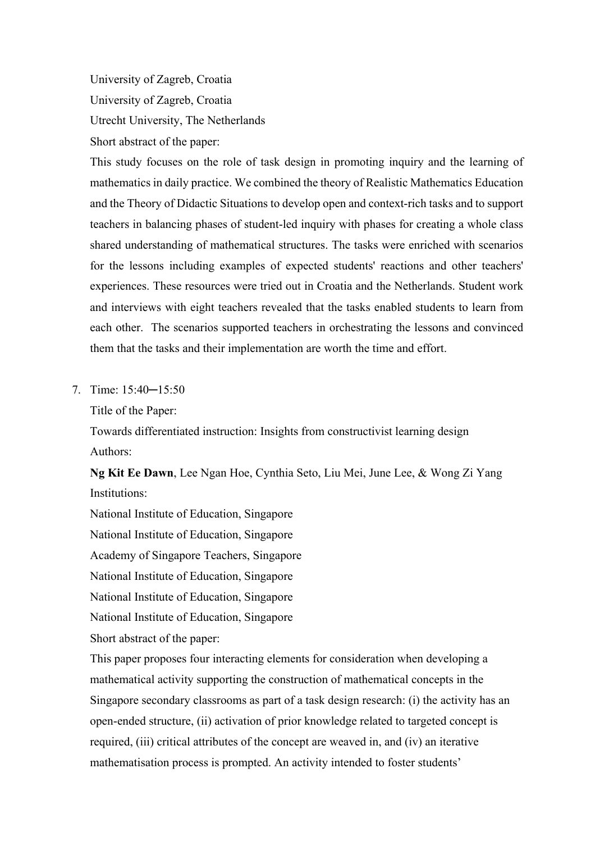University of Zagreb, Croatia University of Zagreb, Croatia Utrecht University, The Netherlands Short abstract of the paper:

This study focuses on the role of task design in promoting inquiry and the learning of mathematics in daily practice. We combined the theory of Realistic Mathematics Education and the Theory of Didactic Situations to develop open and context-rich tasks and to support teachers in balancing phases of student-led inquiry with phases for creating a whole class shared understanding of mathematical structures. The tasks were enriched with scenarios for the lessons including examples of expected students' reactions and other teachers' experiences. These resources were tried out in Croatia and the Netherlands. Student work and interviews with eight teachers revealed that the tasks enabled students to learn from each other. The scenarios supported teachers in orchestrating the lessons and convinced them that the tasks and their implementation are worth the time and effort.

7. Time: 15:40─15:50

Title of the Paper:

Towards differentiated instruction: Insights from constructivist learning design Authors:

**Ng Kit Ee Dawn**, Lee Ngan Hoe, Cynthia Seto, Liu Mei, June Lee, & Wong Zi Yang Institutions:

National Institute of Education, Singapore National Institute of Education, Singapore Academy of Singapore Teachers, Singapore

National Institute of Education, Singapore

National Institute of Education, Singapore

National Institute of Education, Singapore

Short abstract of the paper:

This paper proposes four interacting elements for consideration when developing a mathematical activity supporting the construction of mathematical concepts in the Singapore secondary classrooms as part of a task design research: (i) the activity has an open-ended structure, (ii) activation of prior knowledge related to targeted concept is required, (iii) critical attributes of the concept are weaved in, and (iv) an iterative mathematisation process is prompted. An activity intended to foster students'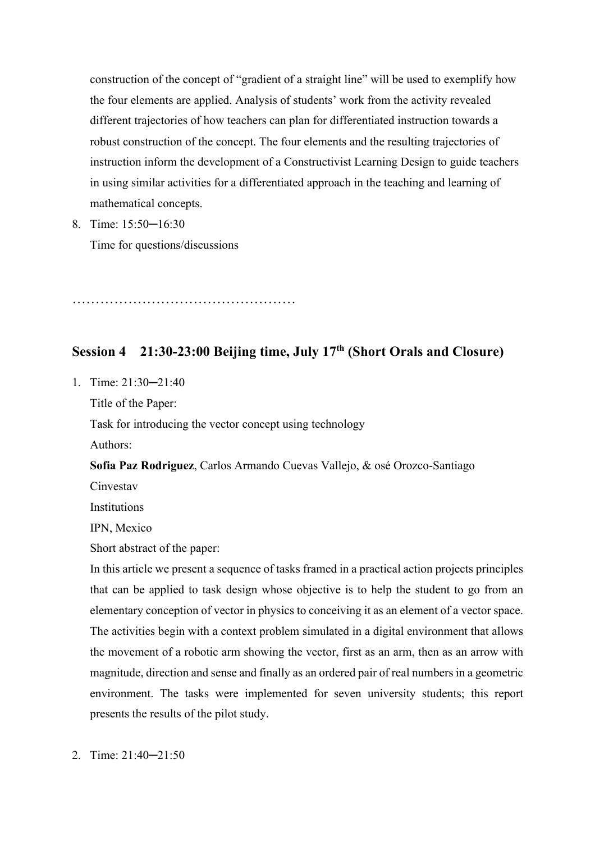construction of the concept of "gradient of a straight line" will be used to exemplify how the four elements are applied. Analysis of students' work from the activity revealed different trajectories of how teachers can plan for differentiated instruction towards a robust construction of the concept. The four elements and the resulting trajectories of instruction inform the development of a Constructivist Learning Design to guide teachers in using similar activities for a differentiated approach in the teaching and learning of mathematical concepts.

8. Time: 15:50─16:30

Time for questions/discussions

…………………………………………

# **Session 4 21:30-23:00 Beijing time, July 17th (Short Orals and Closure)**

1. Time: 21:30─21:40

Title of the Paper:

Task for introducing the vector concept using technology

Authors:

**Sofia Paz Rodriguez**, Carlos Armando Cuevas Vallejo, & osé Orozco-Santiago

Cinvestav

**Institutions** 

IPN, Mexico

Short abstract of the paper:

In this article we present a sequence of tasks framed in a practical action projects principles that can be applied to task design whose objective is to help the student to go from an elementary conception of vector in physics to conceiving it as an element of a vector space. The activities begin with a context problem simulated in a digital environment that allows the movement of a robotic arm showing the vector, first as an arm, then as an arrow with magnitude, direction and sense and finally as an ordered pair of real numbers in a geometric environment. The tasks were implemented for seven university students; this report presents the results of the pilot study.

2. Time: 21:40─21:50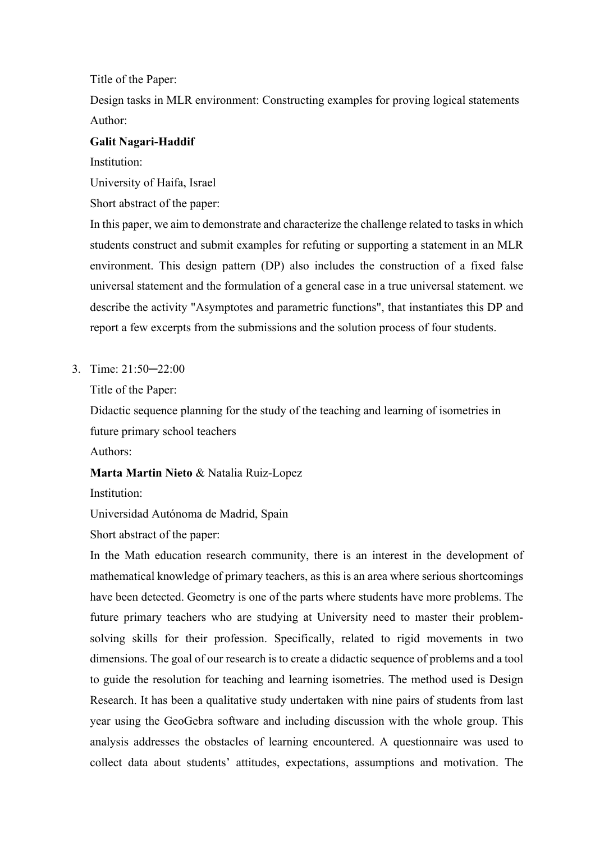Title of the Paper:

Design tasks in MLR environment: Constructing examples for proving logical statements Author:

# **Galit Nagari-Haddif**

Institution:

University of Haifa, Israel

Short abstract of the paper:

In this paper, we aim to demonstrate and characterize the challenge related to tasks in which students construct and submit examples for refuting or supporting a statement in an MLR environment. This design pattern (DP) also includes the construction of a fixed false universal statement and the formulation of a general case in a true universal statement. we describe the activity "Asymptotes and parametric functions", that instantiates this DP and report a few excerpts from the submissions and the solution process of four students.

3. Time: 21:50─22:00

Title of the Paper:

Didactic sequence planning for the study of the teaching and learning of isometries in future primary school teachers

Authors:

**Marta Martin Nieto** & Natalia Ruiz-Lopez

Institution:

Universidad Autónoma de Madrid, Spain

Short abstract of the paper:

In the Math education research community, there is an interest in the development of mathematical knowledge of primary teachers, as this is an area where serious shortcomings have been detected. Geometry is one of the parts where students have more problems. The future primary teachers who are studying at University need to master their problemsolving skills for their profession. Specifically, related to rigid movements in two dimensions. The goal of our research is to create a didactic sequence of problems and a tool to guide the resolution for teaching and learning isometries. The method used is Design Research. It has been a qualitative study undertaken with nine pairs of students from last year using the GeoGebra software and including discussion with the whole group. This analysis addresses the obstacles of learning encountered. A questionnaire was used to collect data about students' attitudes, expectations, assumptions and motivation. The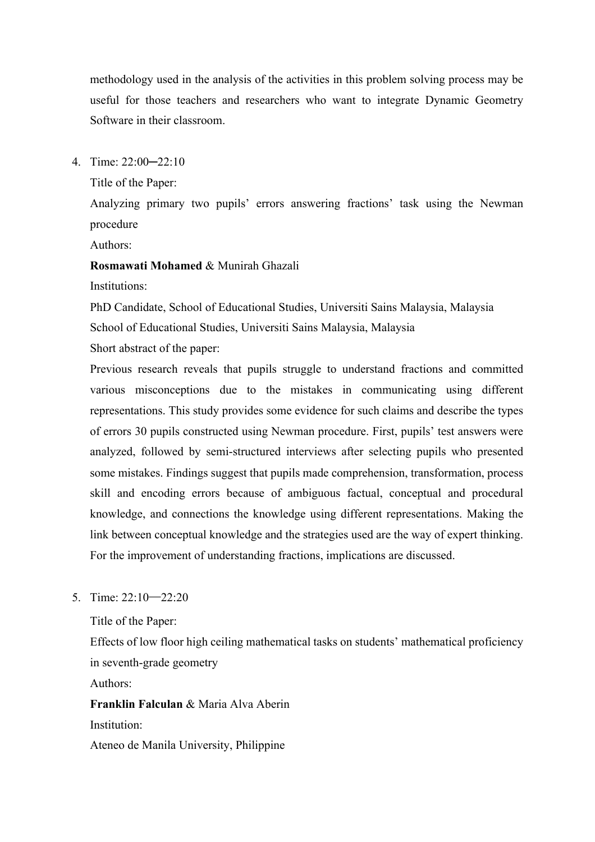methodology used in the analysis of the activities in this problem solving process may be useful for those teachers and researchers who want to integrate Dynamic Geometry Software in their classroom.

4. Time: 22:00─22:10

Title of the Paper:

Analyzing primary two pupils' errors answering fractions' task using the Newman procedure

Authors:

**Rosmawati Mohamed** & Munirah Ghazali

Institutions:

PhD Candidate, School of Educational Studies, Universiti Sains Malaysia, Malaysia School of Educational Studies, Universiti Sains Malaysia, Malaysia

Short abstract of the paper:

Previous research reveals that pupils struggle to understand fractions and committed various misconceptions due to the mistakes in communicating using different representations. This study provides some evidence for such claims and describe the types of errors 30 pupils constructed using Newman procedure. First, pupils' test answers were analyzed, followed by semi-structured interviews after selecting pupils who presented some mistakes. Findings suggest that pupils made comprehension, transformation, process skill and encoding errors because of ambiguous factual, conceptual and procedural knowledge, and connections the knowledge using different representations. Making the link between conceptual knowledge and the strategies used are the way of expert thinking. For the improvement of understanding fractions, implications are discussed.

5. Time: 22:10─22:20

Title of the Paper:

Effects of low floor high ceiling mathematical tasks on students' mathematical proficiency in seventh-grade geometry

Authors:

**Franklin Falculan** & Maria Alva Aberin Institution:

Ateneo de Manila University, Philippine